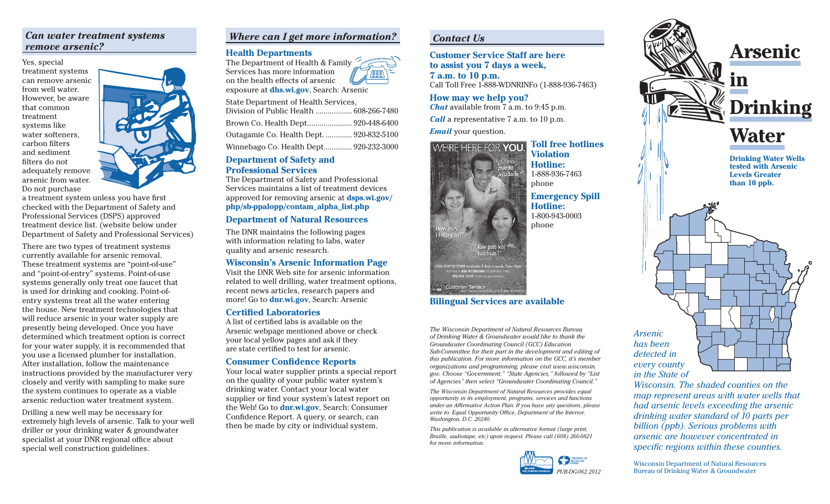## *Can water treatment systems remove arsenic?*

Yes, special treatment systems can remove arsenic from well water. However, be aware that common treatment systems like water softeners, carbon filters and sediment filters do not adequately remove arsenic from water. Do not purchase



a treatment system unless you have first checked with the Department of Safety and Professional Services (DSPS) approved treatment device list. (website below under Department of Safety and Professional Services)

There are two types of treatment systems currently available for arsenic removal. These treatment systems are "point-of-use" and "point-of-entry" systems. Point-of-use systems generally only treat one faucet that is used for drinking and cooking. Point-ofentry systems treat all the water entering the house. New treatment technologies that will reduce arsenic in your water supply are presently being developed. Once you have determined which treatment option is correct for your water supply, it is recommended that you use a licensed plumber for installation. After installation, follow the maintenance instructions provided by the manufacturer very closely and verify with sampling to make sure the system continues to operate as a viable arsenic reduction water treatment system.

Drilling a new well may be necessary for extremely high levels of arsenic. Talk to your well driller or your drinking water & groundwater specialist at your DNR regional office about special well construction guidelines.

## *Where can I get more information?*

#### **Health Departments**



State Department of Health Services, Division of Public Health .................. 608-266-7480 Brown Co. Health Dept. ..................... 920-448-6400 Outagamie Co. Health Dept. ............. 920-832-5100 Winnebago Co. Health Dept.............. 920-232-3000

### **Department of Safety and Professional Services**

The Department of Safety and Professional Services maintains a list of treatment devices approved for removing arsenic at **dsps.wi.gov/ php/sb-ppalopp/contam\_alpha\_list.php**

### **Department of Natural Resources**

The DNR maintains the following pages with information relating to labs, water quality and arsenic research.

#### **Wisconsin's Arsenic Information Page**

Visit the DNR Web site for arsenic information related to well drilling, water treatment options, recent news articles, research papers and more! Go to **dnr.wi.gov**, Search: Arsenic

#### **Certified Laboratories**

A list of certified labs is available on the Arsenic webpage mentioned above or check your local yellow pages and ask if they are state certified to test for arsenic.

#### **Consumer Confidence Reports**

Your local water supplier prints a special report on the quality of your public water system's drinking water. Contact your local water supplier or find your system's latest report on the Web! Go to **dnr.wi.gov**, Search: Consumer Confidence Report. A query, or search, can then be made by city or individual system.

### *Contact Us*

**Customer Service Staff are here to assist you 7 days a week, 7 a.m. to 10 p.m.** Call Toll Free 1-888-WDNRINFo (1-888-936-7463)

**How may we help you?** *Chat* available from 7 a.m. to 9:45 p.m. *Call* a representative 7 a.m. to 10 p.m. *Email* your question.



**Violation Hotline:**  1-888-936-7463 phone

> **Emergency Spill Hotline:** 1-800-943-0003 phone

#### **Bilingual Services are available**

*The Wisconsin Department of Natural Resources Bureau of Drinking Water & Groundwater would like to thank the Groundwater Coordinating Council (GCC) Education Sub-Committee for their part in the development and editing of this publication. For more information on the GCC, it's member organizations and programming, please visit www.wisconsin. gov. Choose "Government," "State Agencies," followed by "List of Agencies" then select "Groundwater Coordinating Council."* 

*The Wisconsin Department of Natural Resources provides equal opportunity in its employment, programs, services and functions under an Affirmative Action Plan. If you have any questions, please* write to: Equal Opportunity Office, Department of the Interior, *Washington, D.C. 20240.* 

*This publication is available in alternative format (large print, Braille, audiotape, etc) upon request. Please call (608) 266-0821 for more information.* 





*Wisconsin. The shaded counties on the map represent areas with water wells that had arsenic levels exceeding the arsenic drinking water standard of 10 parts per billion (ppb). Serious problems with arsenic are however concentrated in specific regions within these counties.* 

Wisconsin Department of Natural Resources Bureau of Drinking Water & Groundwater